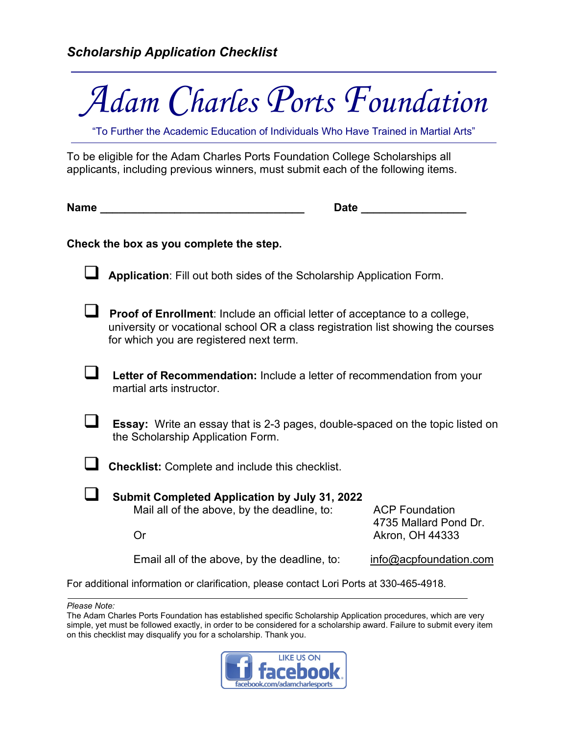

"To Further the Academic Education of Individuals Who Have Trained in Martial Arts"

To be eligible for the Adam Charles Ports Foundation College Scholarships all applicants, including previous winners, must submit each of the following items.

**Name \_\_\_\_\_\_\_\_\_\_\_\_\_\_\_\_\_\_\_\_\_\_\_\_\_\_\_\_\_\_\_\_\_ Date \_\_\_\_\_\_\_\_\_\_\_\_\_\_\_\_\_**

## **Check the box as you complete the step.**

**Application**: Fill out both sides of the Scholarship Application Form.

**Proof of Enrollment**: Include an official letter of acceptance to a college, university or vocational school OR a class registration list showing the courses for which you are registered next term.

 **Letter of Recommendation:** Include a letter of recommendation from your martial arts instructor.

 **Essay:** Write an essay that is 2-3 pages, double-spaced on the topic listed on the Scholarship Application Form.

**Checklist:** Complete and include this checklist.

 **Submit Completed Application by July 31, 2022** Mail all of the above, by the deadline, to: ACP Foundation 4735 Mallard Pond Dr. Or Akron, OH 44333

Email all of the above, by the deadline, to:  $\qquad \qquad$  [info@acpfoundation.com](mailto:info@acpfoundation.com)

For additional information or clarification, please contact Lori Ports at 330-465-4918.

*Please Note:*

The Adam Charles Ports Foundation has established specific Scholarship Application procedures, which are very simple, yet must be followed exactly, in order to be considered for a scholarship award. Failure to submit every item on this checklist may disqualify you for a scholarship. Thank you.

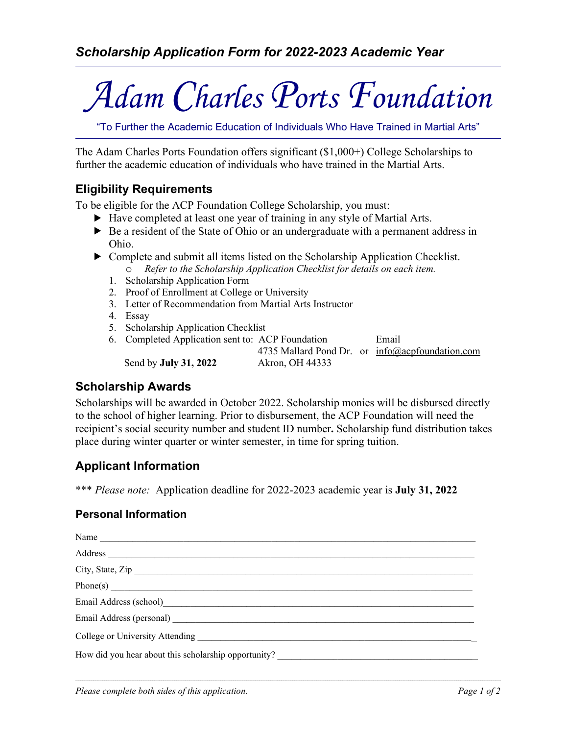# *Adam Charles Ports Foundation*

"To Further the Academic Education of Individuals Who Have Trained in Martial Arts"

The Adam Charles Ports Foundation offers significant (\$1,000+) College Scholarships to further the academic education of individuals who have trained in the Martial Arts.

## **Eligibility Requirements**

To be eligible for the ACP Foundation College Scholarship, you must:

- Have completed at least one year of training in any style of Martial Arts.
- $\triangleright$  Be a resident of the State of Ohio or an undergraduate with a permanent address in Ohio.
- Complete and submit all items listed on the Scholarship Application Checklist. o *Refer to the Scholarship Application Checklist for details on each item.*
	- 1. Scholarship Application Form
	- 2. Proof of Enrollment at College or University
	- 3. Letter of Recommendation from Martial Arts Instructor
	- 4. Essay
	- 5. Scholarship Application Checklist

6. Completed Application sent to: ACP Foundation Email 4735 Mallard Pond Dr. or info@acpfoundation.com Send by **July 31, 2022** Akron, OH 44333

# **Scholarship Awards**

Scholarships will be awarded in October 2022. Scholarship monies will be disbursed directly to the school of higher learning. Prior to disbursement, the ACP Foundation will need the recipient's social security number and student ID number**.** Scholarship fund distribution takes place during winter quarter or winter semester, in time for spring tuition.

# **Applicant Information**

\*\*\* *Please note:* Application deadline for 2022-2023 academic year is **July 31, 2022** 

## **Personal Information**

| Name                                                                             |  |
|----------------------------------------------------------------------------------|--|
|                                                                                  |  |
| City, State, Zip                                                                 |  |
|                                                                                  |  |
|                                                                                  |  |
|                                                                                  |  |
|                                                                                  |  |
| How did you hear about this scholarship opportunity? ___________________________ |  |